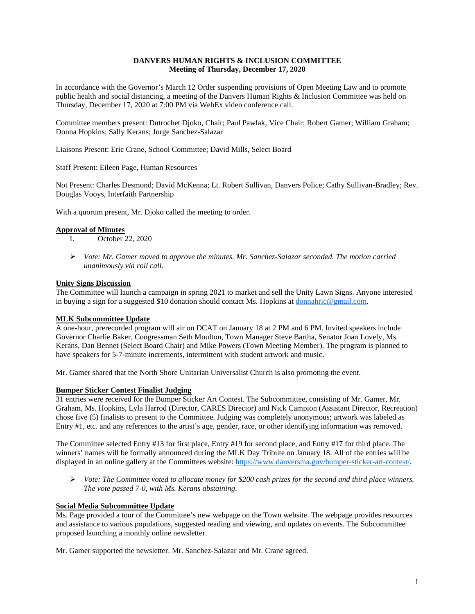# **DANVERS HUMAN RIGHTS & INCLUSION COMMITTEE Meeting of Thursday, December 17, 2020**

In accordance with the Governor's March 12 Order suspending provisions of Open Meeting Law and to promote public health and social distancing, a meeting of the Danvers Human Rights & Inclusion Committee was held on Thursday, December 17, 2020 at 7:00 PM via WebEx video conference call.

Committee members present: Dutrochet Djoko, Chair; Paul Pawlak, Vice Chair; Robert Gamer; William Graham; Donna Hopkins; Sally Kerans; Jorge Sanchez-Salazar

Liaisons Present: Eric Crane, School Committee; David Mills, Select Board

Staff Present: Eileen Page, Human Resources

Not Present: Charles Desmond; David McKenna; Lt. Robert Sullivan, Danvers Police; Cathy Sullivan-Bradley; Rev. Douglas Vooys, Interfaith Partnership

With a quorum present, Mr. Djoko called the meeting to order.

## **Approval of Minutes**

- I. October 22, 2020
- *Vote: Mr. Gamer moved to approve the minutes. Mr. Sanchez-Salazar seconded. The motion carried unanimously via roll call.*

## **Unity Signs Discussion**

The Committee will launch a campaign in spring 2021 to market and sell the Unity Lawn Signs. Anyone interested in buying a sign for a suggested \$10 donation should contact Ms. Hopkins at [donnahric@gmail.com.](mailto:donnahric@gmail.com)

### **MLK Subcommittee Update**

A one-hour, prerecorded program will air on DCAT on January 18 at 2 PM and 6 PM. Invited speakers include Governor Charlie Baker, Congressman Seth Moulton, Town Manager Steve Bartha, Senator Joan Lovely, Ms. Kerans, Dan Bennet (Select Board Chair) and Mike Powers (Town Meeting Member). The program is planned to have speakers for 5-7-minute increments, intermittent with student artwork and music.

Mr. Gamer shared that the North Shore Unitarian Universalist Church is also promoting the event.

### **Bumper Sticker Contest Finalist Judging**

31 entries were received for the Bumper Sticker Art Contest. The Subcommittee, consisting of Mr. Gamer, Mr. Graham, Ms. Hopkins, Lyla Harrod (Director, CARES Director) and Nick Campion (Assistant Director, Recreation) chose five (5) finalists to present to the Committee. Judging was completely anonymous; artwork was labeled as Entry #1, etc. and any references to the artist's age, gender, race, or other identifying information was removed.

The Committee selected Entry #13 for first place, Entry #19 for second place, and Entry #17 for third place. The winners' names will be formally announced during the MLK Day Tribute on January 18. All of the entries will be displayed in an online gallery at the Committees website: [https://www.danversma.gov/bumper-sticker-art-contest/.](https://www.danversma.gov/bumper-sticker-art-contest/)

 *Vote: The Committee voted to allocate money for \$200 cash prizes for the second and third place winners. The vote passed 7-0, with Ms. Kerans abstaining.*

### **Social Media Subcommittee Update**

Ms. Page provided a tour of the Committee's new webpage on the Town website. The webpage provides resources and assistance to various populations, suggested reading and viewing, and updates on events. The Subcommittee proposed launching a monthly online newsletter.

Mr. Gamer supported the newsletter. Mr. Sanchez-Salazar and Mr. Crane agreed.